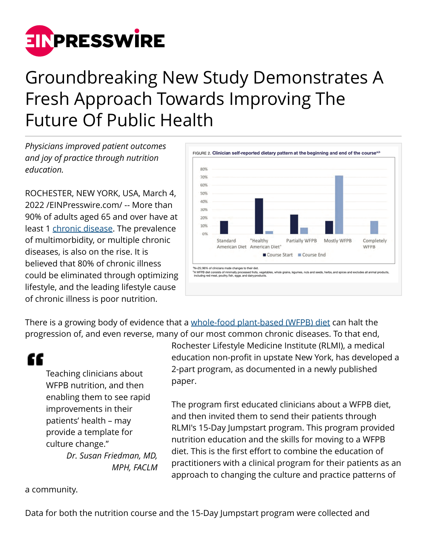

## Groundbreaking New Study Demonstrates A Fresh Approach Towards Improving The Future Of Public Health

*Physicians improved patient outcomes and joy of practice through nutrition education.*

ROCHESTER, NEW YORK, USA, March 4, 2022 /[EINPresswire.com](http://www.einpresswire.com)/ -- More than 90% of adults aged 65 and over have at least 1 [chronic disease.](https://rochesterlifestylemedicine.org/) The prevalence of multimorbidity, or multiple chronic diseases, is also on the rise. It is believed that 80% of chronic illness could be eliminated through optimizing lifestyle, and the leading lifestyle cause of chronic illness is poor nutrition.



There is a growing body of evidence that a [whole-food plant-based \(WFPB\) diet](https://rochesterlifestylemedicine.org/about-jumpstart/) can halt the progression of, and even reverse, many of our most common chronic diseases. To that end,

"

Teaching clinicians about WFPB nutrition, and then enabling them to see rapid improvements in their patients' health – may provide a template for culture change."

*Dr. Susan Friedman, MD, MPH, FACLM* Rochester Lifestyle Medicine Institute (RLMI), a medical education non-profit in upstate New York, has developed a 2-part program, as documented in a newly published paper.

The program first educated clinicians about a WFPB diet, and then invited them to send their patients through RLMI's 15-Day Jumpstart program. This program provided nutrition education and the skills for moving to a WFPB diet. This is the first effort to combine the education of practitioners with a clinical program for their patients as an approach to changing the culture and practice patterns of

a community.

Data for both the nutrition course and the 15-Day Jumpstart program were collected and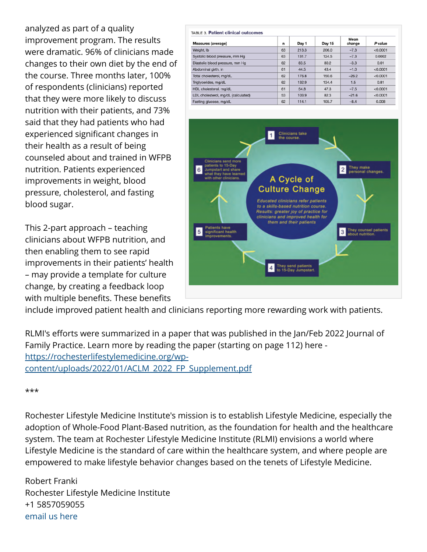analyzed as part of a quality improvement program. The results were dramatic. 96% of clinicians made changes to their own diet by the end of the course. Three months later, 100% of respondents (clinicians) reported that they were more likely to discuss nutrition with their patients, and 73% said that they had patients who had experienced significant changes in their health as a result of being counseled about and trained in WFPB nutrition. Patients experienced improvements in weight, blood pressure, cholesterol, and fasting blood sugar.

This 2-part approach – teaching clinicians about WFPB nutrition, and then enabling them to see rapid improvements in their patients' health – may provide a template for culture change, by creating a feedback loop with multiple benefits. These benefits

| <b>Measures (average)</b>           | n  | Day 1 | Day 15 | Mean<br>change | P value  |
|-------------------------------------|----|-------|--------|----------------|----------|
| Weight, Ib                          | 63 | 213.3 | 206.0  | $-7.3$         | < 0.0001 |
| Systolic blood pressure, mm Hg      | 63 | 131.7 | 124.5  | $-7.3$         | 0.0002   |
| Diastolic blood pressure, mm Hg     | 62 | 83.5  | 80.2   | $-3.3$         | 0.01     |
| Abdominal girth, in                 | 61 | 44.5  | 43.4   | $-1.0$         | < 0.0001 |
| Total cholesterol, mg/dL            | 62 | 176.8 | 150.6  | $-26.2$        | < 0.0001 |
| Triglycerides, mg/dL                | 62 | 132.9 | 134.4  | 1.5            | 0.81     |
| HDL cholesterol, mg/dL              | 61 | 54.8  | 47.3   | $-7.5$         | < 0.0001 |
| LDL cholesterol, mg/dL (calculated) | 53 | 103.9 | 82.3   | $-21.6$        | < 0.0001 |
| Fasting glucose, mg/dL              | 62 | 114.1 | 105.7  | $-8.4$         | 0.008    |



include improved patient health and clinicians reporting more rewarding work with patients.

RLMI's efforts were summarized in a paper that was published in the Jan/Feb 2022 Journal of Family Practice. Learn more by reading the paper (starting on page 112) here [https://rochesterlifestylemedicine.org/wp](https://rochesterlifestylemedicine.org/wp-content/uploads/2022/01/ACLM_2022_FP_Supplement.pdf)[content/uploads/2022/01/ACLM\\_2022\\_FP\\_Supplement.pdf](https://rochesterlifestylemedicine.org/wp-content/uploads/2022/01/ACLM_2022_FP_Supplement.pdf)

## \*\*\*

Rochester Lifestyle Medicine Institute's mission is to establish Lifestyle Medicine, especially the adoption of Whole-Food Plant-Based nutrition, as the foundation for health and the healthcare system. The team at Rochester Lifestyle Medicine Institute (RLMI) envisions a world where Lifestyle Medicine is the standard of care within the healthcare system, and where people are empowered to make lifestyle behavior changes based on the tenets of Lifestyle Medicine.

Robert Franki Rochester Lifestyle Medicine Institute +1 5857059055 [email us here](http://www.einpresswire.com/contact_author/3323904)